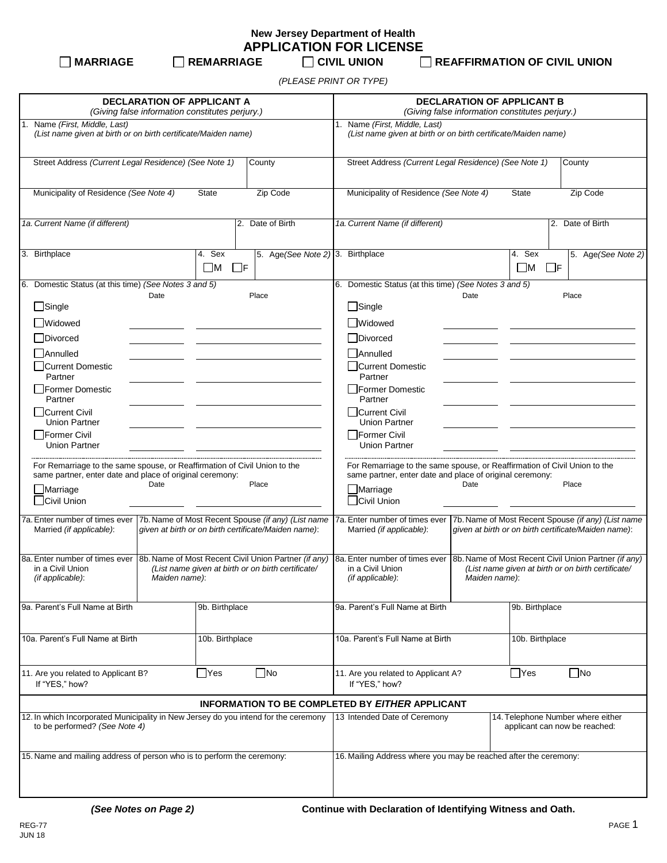**New Jersey Department of Health APPLICATION FOR LICENSE**

**MARRIAGE REMARRIAGE CIVIL UNION REAFFIRMATION OF CIVIL UNION**

*(PLEASE PRINT OR TYPE)*

| <b>DECLARATION OF APPLICANT A</b><br>(Giving false information constitutes perjury.)                                                                                     |                                                                                                                             |          |                                             |                                                                                                 | <b>DECLARATION OF APPLICANT B</b><br>(Giving false information constitutes perjury.)                                                  |                |                       |                                                                                                            |                    |  |
|--------------------------------------------------------------------------------------------------------------------------------------------------------------------------|-----------------------------------------------------------------------------------------------------------------------------|----------|---------------------------------------------|-------------------------------------------------------------------------------------------------|---------------------------------------------------------------------------------------------------------------------------------------|----------------|-----------------------|------------------------------------------------------------------------------------------------------------|--------------------|--|
| 1. Name (First, Middle, Last)<br>(List name given at birth or on birth certificate/Maiden name)                                                                          |                                                                                                                             |          |                                             | 1. Name (First, Middle, Last)<br>(List name given at birth or on birth certificate/Maiden name) |                                                                                                                                       |                |                       |                                                                                                            |                    |  |
| Street Address (Current Legal Residence) (See Note 1)<br>County                                                                                                          |                                                                                                                             |          |                                             | Street Address (Current Legal Residence) (See Note 1)<br>County                                 |                                                                                                                                       |                |                       |                                                                                                            |                    |  |
| Zip Code<br>Municipality of Residence (See Note 4)<br><b>State</b>                                                                                                       |                                                                                                                             |          |                                             | Municipality of Residence (See Note 4)<br>Zip Code<br><b>State</b>                              |                                                                                                                                       |                |                       |                                                                                                            |                    |  |
| 1a. Current Name (if different)<br>2. Date of Birth                                                                                                                      |                                                                                                                             |          |                                             | 1a. Current Name (if different)<br>Date of Birth<br>2.                                          |                                                                                                                                       |                |                       |                                                                                                            |                    |  |
| 3. Birthplace                                                                                                                                                            | 4. Sex<br>$\square$ M                                                                                                       | $\Box$ F | 5. Age (See Note 2) 3. Birthplace           |                                                                                                 |                                                                                                                                       |                | 4. Sex<br>$\square$ M | $\Box$ F                                                                                                   | 5. Age(See Note 2) |  |
| 6. Domestic Status (at this time) (See Notes 3 and 5)                                                                                                                    |                                                                                                                             |          |                                             |                                                                                                 | 6. Domestic Status (at this time) (See Notes 3 and 5)                                                                                 |                |                       |                                                                                                            |                    |  |
| Date                                                                                                                                                                     |                                                                                                                             |          | Place                                       |                                                                                                 |                                                                                                                                       | Date           |                       | Place                                                                                                      |                    |  |
| $\Box$ Single                                                                                                                                                            |                                                                                                                             |          |                                             |                                                                                                 | $\Box$ Single                                                                                                                         |                |                       |                                                                                                            |                    |  |
| <b>Nidowed</b><br>□Divorced                                                                                                                                              |                                                                                                                             |          |                                             |                                                                                                 | Widowed<br>Divorced                                                                                                                   |                |                       |                                                                                                            |                    |  |
|                                                                                                                                                                          |                                                                                                                             |          |                                             |                                                                                                 | Annulled                                                                                                                              |                |                       |                                                                                                            |                    |  |
| Annulled<br>□Current Domestic<br>Partner                                                                                                                                 |                                                                                                                             |          |                                             | □Current Domestic<br>Partner                                                                    |                                                                                                                                       |                |                       |                                                                                                            |                    |  |
| Former Domestic<br>Partner                                                                                                                                               |                                                                                                                             |          |                                             | Former Domestic<br>Partner                                                                      |                                                                                                                                       |                |                       |                                                                                                            |                    |  |
| Current Civil<br><b>Union Partner</b>                                                                                                                                    |                                                                                                                             |          |                                             | Current Civil<br><b>Union Partner</b>                                                           |                                                                                                                                       |                |                       |                                                                                                            |                    |  |
| Former Civil<br><b>Union Partner</b>                                                                                                                                     |                                                                                                                             |          | <b>Former Civil</b><br><b>Union Partner</b> |                                                                                                 |                                                                                                                                       |                |                       |                                                                                                            |                    |  |
| For Remarriage to the same spouse, or Reaffirmation of Civil Union to the<br>same partner, enter date and place of original ceremony:                                    |                                                                                                                             |          |                                             |                                                                                                 | For Remarriage to the same spouse, or Reaffirmation of Civil Union to the<br>same partner, enter date and place of original ceremony: |                |                       |                                                                                                            |                    |  |
| Place<br>Date<br>$\Box$ Marriage<br>□Civil Union                                                                                                                         |                                                                                                                             |          |                                             | $\Box$ Marriage<br>Civil Union                                                                  | Date                                                                                                                                  |                | Place                 |                                                                                                            |                    |  |
| 7a. Enter number of times ever<br>7b. Name of Most Recent Spouse (if any) (List name<br>Married (if applicable):<br>given at birth or on birth certificate/Maiden name): |                                                                                                                             |          |                                             | 7a. Enter number of times ever<br>Married (if applicable):                                      |                                                                                                                                       |                |                       | 7b. Name of Most Recent Spouse (if any) (List name<br>given at birth or on birth certificate/Maiden name): |                    |  |
| 8a. Enter number of times ever<br>in a Civil Union<br>(if applicable):                                                                                                   | 8b. Name of Most Recent Civil Union Partner (if any)<br>(List name given at birth or on birth certificate/<br>Maiden name): |          |                                             | 8a. Enter number of times ever<br>in a Civil Union<br>(if applicable):                          | 8b. Name of Most Recent Civil Union Partner (if any)<br>(List name given at birth or on birth certificate/<br>Maiden name):           |                |                       |                                                                                                            |                    |  |
| 9a. Parent's Full Name at Birth                                                                                                                                          | 9b. Birthplace                                                                                                              |          |                                             | 9a. Parent's Full Name at Birth                                                                 |                                                                                                                                       | 9b. Birthplace |                       |                                                                                                            |                    |  |
| 10a. Parent's Full Name at Birth<br>10b. Birthplace                                                                                                                      |                                                                                                                             |          | 10a. Parent's Full Name at Birth            |                                                                                                 | 10b. Birthplace                                                                                                                       |                |                       |                                                                                                            |                    |  |
| $\Box$ No<br>11. Are you related to Applicant B?<br>$\Box$ Yes<br>If "YES," how?                                                                                         |                                                                                                                             |          |                                             | $\Box$ Yes<br>$\Box$ No<br>11. Are you related to Applicant A?<br>If "YES," how?                |                                                                                                                                       |                |                       |                                                                                                            |                    |  |
|                                                                                                                                                                          |                                                                                                                             |          |                                             |                                                                                                 | <b>INFORMATION TO BE COMPLETED BY EITHER APPLICANT</b>                                                                                |                |                       |                                                                                                            |                    |  |
| 12. In which Incorporated Municipality in New Jersey do you intend for the ceremony<br>to be performed? (See Note 4)                                                     |                                                                                                                             |          |                                             | 13 Intended Date of Ceremony                                                                    |                                                                                                                                       |                |                       | 14. Telephone Number where either<br>applicant can now be reached:                                         |                    |  |
| 15. Name and mailing address of person who is to perform the ceremony:                                                                                                   |                                                                                                                             |          |                                             |                                                                                                 | 16. Mailing Address where you may be reached after the ceremony:                                                                      |                |                       |                                                                                                            |                    |  |
|                                                                                                                                                                          |                                                                                                                             |          |                                             |                                                                                                 |                                                                                                                                       |                |                       |                                                                                                            |                    |  |